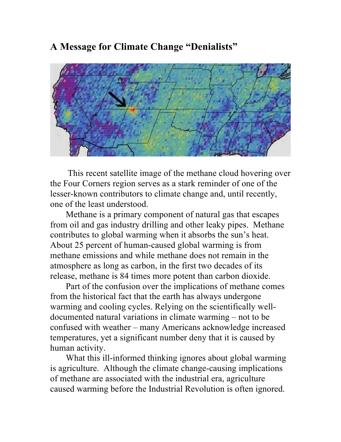# **A Message for Climate Change "Denialists"**



This recent satellite image of the methane cloud hovering over the Four Corners region serves as a stark reminder of one of the lesser-known contributors to climate change and, until recently, one of the least understood.

 Methane is a primary component of natural gas that escapes from oil and gas industry drilling and other leaky pipes. Methane contributes to global warming when it absorbs the sun's heat. About 25 percent of human-caused global warming is from methane emissions and while methane does not remain in the atmosphere as long as carbon, in the first two decades of its release, methane is 84 times more potent than carbon dioxide.

 Part of the confusion over the implications of methane comes from the historical fact that the earth has always undergone warming and cooling cycles. Relying on the scientifically welldocumented natural variations in climate warming – not to be confused with weather – many Americans acknowledge increased temperatures, yet a significant number deny that it is caused by human activity.

 What this ill-informed thinking ignores about global warming is agriculture. Although the climate change-causing implications of methane are associated with the industrial era, agriculture caused warming before the Industrial Revolution is often ignored.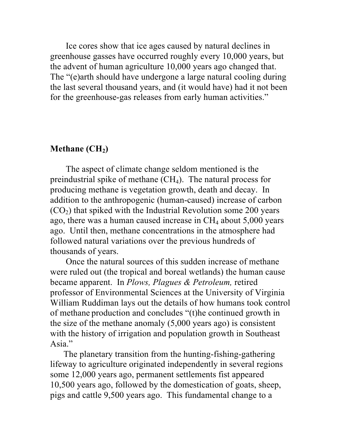Ice cores show that ice ages caused by natural declines in greenhouse gasses have occurred roughly every 10,000 years, but the advent of human agriculture 10,000 years ago changed that. The "(e)arth should have undergone a large natural cooling during the last several thousand years, and (it would have) had it not been for the greenhouse-gas releases from early human activities."

## **Methane** (CH<sub>2</sub>)

 The aspect of climate change seldom mentioned is the preindustrial spike of methane  $(CH<sub>4</sub>)$ . The natural process for producing methane is vegetation growth, death and decay. In addition to the anthropogenic (human-caused) increase of carbon  $(CO<sub>2</sub>)$  that spiked with the Industrial Revolution some 200 years ago, there was a human caused increase in  $CH<sub>4</sub>$  about 5,000 years ago. Until then, methane concentrations in the atmosphere had followed natural variations over the previous hundreds of thousands of years.

 Once the natural sources of this sudden increase of methane were ruled out (the tropical and boreal wetlands) the human cause became apparent. In *Plows, Plagues & Petroleum,* retired professor of Environmental Sciences at the University of Virginia William Ruddiman lays out the details of how humans took control of methane production and concludes "(t)he continued growth in the size of the methane anomaly (5,000 years ago) is consistent with the history of irrigation and population growth in Southeast Asia."

 The planetary transition from the hunting-fishing-gathering lifeway to agriculture originated independently in several regions some 12,000 years ago, permanent settlements fist appeared 10,500 years ago, followed by the domestication of goats, sheep, pigs and cattle 9,500 years ago. This fundamental change to a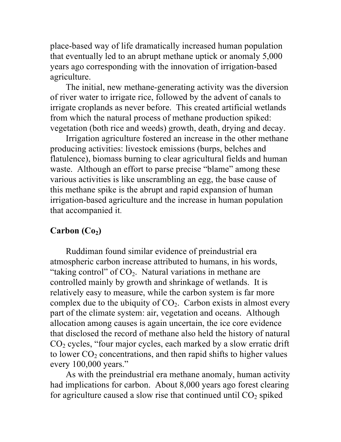place-based way of life dramatically increased human population that eventually led to an abrupt methane uptick or anomaly 5,000 years ago corresponding with the innovation of irrigation-based agriculture.

 The initial, new methane-generating activity was the diversion of river water to irrigate rice, followed by the advent of canals to irrigate croplands as never before. This created artificial wetlands from which the natural process of methane production spiked: vegetation (both rice and weeds) growth, death, drying and decay.

 Irrigation agriculture fostered an increase in the other methane producing activities: livestock emissions (burps, belches and flatulence), biomass burning to clear agricultural fields and human waste. Although an effort to parse precise "blame" among these various activities is like unscrambling an egg, the base cause of this methane spike is the abrupt and rapid expansion of human irrigation-based agriculture and the increase in human population that accompanied it.

## $Carbon (Co<sub>2</sub>)$

 Ruddiman found similar evidence of preindustrial era atmospheric carbon increase attributed to humans, in his words, "taking control" of  $CO<sub>2</sub>$ . Natural variations in methane are controlled mainly by growth and shrinkage of wetlands. It is relatively easy to measure, while the carbon system is far more complex due to the ubiquity of  $CO<sub>2</sub>$ . Carbon exists in almost every part of the climate system: air, vegetation and oceans. Although allocation among causes is again uncertain, the ice core evidence that disclosed the record of methane also held the history of natural  $CO<sub>2</sub>$  cycles, "four major cycles, each marked by a slow erratic drift to lower  $CO<sub>2</sub>$  concentrations, and then rapid shifts to higher values every 100,000 years."

 As with the preindustrial era methane anomaly, human activity had implications for carbon. About 8,000 years ago forest clearing for agriculture caused a slow rise that continued until  $CO<sub>2</sub>$  spiked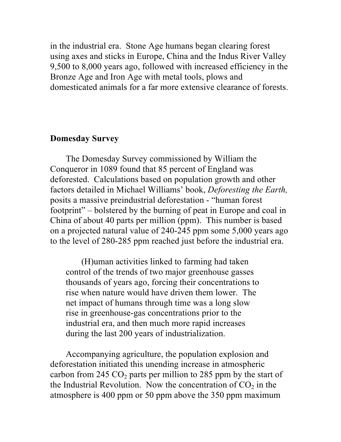in the industrial era. Stone Age humans began clearing forest using axes and sticks in Europe, China and the Indus River Valley 9,500 to 8,000 years ago, followed with increased efficiency in the Bronze Age and Iron Age with metal tools, plows and domesticated animals for a far more extensive clearance of forests.

### **Domesday Survey**

 The Domesday Survey commissioned by William the Conqueror in 1089 found that 85 percent of England was deforested. Calculations based on population growth and other factors detailed in Michael Williams' book, *Deforesting the Earth,* posits a massive preindustrial deforestation - "human forest footprint" – bolstered by the burning of peat in Europe and coal in China of about 40 parts per million (ppm). This number is based on a projected natural value of 240-245 ppm some 5,000 years ago to the level of 280-285 ppm reached just before the industrial era.

 (H)uman activities linked to farming had taken control of the trends of two major greenhouse gasses thousands of years ago, forcing their concentrations to rise when nature would have driven them lower. The net impact of humans through time was a long slow rise in greenhouse-gas concentrations prior to the industrial era, and then much more rapid increases during the last 200 years of industrialization.

 Accompanying agriculture, the population explosion and deforestation initiated this unending increase in atmospheric carbon from 245  $CO<sub>2</sub>$  parts per million to 285 ppm by the start of the Industrial Revolution. Now the concentration of  $CO<sub>2</sub>$  in the atmosphere is 400 ppm or 50 ppm above the 350 ppm maximum